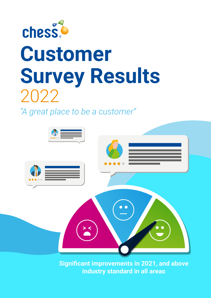

# **Customer Survey Results**  2022

*"A great place to be a customer"*



**Significant improvements in 2021, and above industry standard in all areas**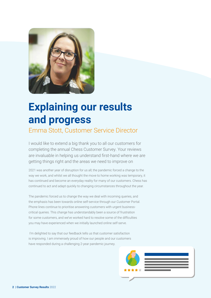

# **Explaining our results and progress**

Emma Stott, Customer Service Director

I would like to extend a big thank you to all our customers for completing the annual Chess Customer Survey. Your reviews are invaluable in helping us understand first-hand where we are getting things right and the areas we need to improve on

2021 was another year of disruption for us all; the pandemic forced a change to the way we work, and whilst we all thought the move to home working was temporary, it has continued and become an everyday reality for many of our customers. Chess has continued to act and adapt quickly to changing circumstances throughout the year.

The pandemic forced us to change the way we deal with incoming queries, and the emphasis has been towards online self-service through our Customer Portal. Phone lines continue to prioritise answering customers with urgent businesscritical queries. This change has understandably been a source of frustration for some customers, and we've worked hard to resolve some of the difficulties you may have experienced when we initially launched online self-serve.

I'm delighted to say that our feedback tells us that customer satisfaction is improving. I am immensely proud of how our people and our customers have responded during a challenging 2-year pandemic journey.

| ***** |  |
|-------|--|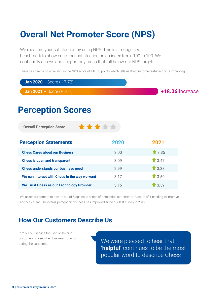### **Overall Net Promoter Score (NPS)**

We measure your satisfaction by using NPS. This is a recognised benchmark to show customer satisfaction on an index from -100 to 100. We continually assess and support any areas that fall below our NPS targets.

There has been a positive shift in the NPS score of +18.06 points which tells us that customer satisfaction is improving

**Jan 2020 –** Score (-17.72)

**Jan 2021 –** Score (+1.04)

**+18.06** Increase

### **Perception Scores**

**Overall Perception Score**

| <b>Perception Statements</b>                     | 2020 | 2021               |
|--------------------------------------------------|------|--------------------|
| <b>Chess Cares about our Business</b>            | 3.00 | $\biguparrow$ 3.35 |
| <b>Chess is open and transparent</b>             | 3.09 | 13.47              |
| <b>Chess understands our business need</b>       | 2.99 | $\biguparrow$ 3.38 |
| We can interact with Chess in the way we want    | 3.17 | $\bullet$ 3.50     |
| <b>We Trust Chess as our Technology Provider</b> | 3.16 | $\bullet$ 3.59     |

\*\*\*\*\*

We asked customers to rate us out of 5 against a series of perception statements. A score of 1 needing to improve and 5 as great. The overall perception of Chess has improved since our last survey in 2019.

#### **How Our Customers Describe Us**

In 2021 our service focused on helping customers to keep their business running during the pandemic.

We were pleased to hear that **'helpful'** continues to be the most popular word to describe Chess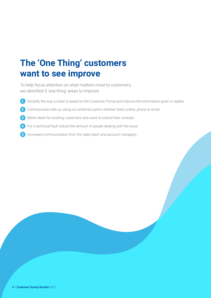### **The 'One Thing' customers want to see improve**

To help focus attention on what matters most to customers, we identified 5 'one thing' areas to improve.

- **1** Simplify the way a ticket is raised on the Customer Portal and improve the information given in replies.
- **2** Communicate with us using our preferred option whether that's online, phone or email.
- **3** Better deals for existing customers who want to extend their contract.
- **4** For a technical fault reduce the amount of people dealing with the issue.
- **5** Increased communication from the sales team and account managers.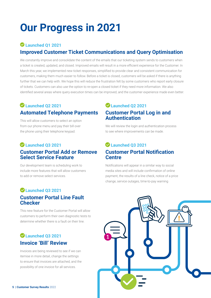# **Our Progress in 2021**

#### **Launched Q1 2021 Improved Customer Ticket Communications and Query Optimisation**

We constantly improve and consolidate the content of the emails that our ticketing system sends to customers when a ticket is created, updated, and closed. Improved emails will result in a more efficient experience for the Customer. In March this year, we implemented new ticket responses, simplified to provide clear and consistent communication for customers, making them much easier to follow. Before a ticket is closed, customers will be asked if there is anything further that we can help with. We hope this will reduce the frustration felt by some customers who report early closure of tickets. Customers can also use the option to re-open a closed ticket if they need more information. We also identified several areas where query execution times can be improved, and the customer experience made even better.

#### **Launched Q2 2021 Automated Telephone Payments**

This will allow customers to select an option from our phone menu and pay their bill over the phone using their telephone keypad.

#### **Launched Q3 2021 Customer Portal Add or Remove Select Service Feature**

Our development team is scheduling work to include more features that will allow customers to add or remove select services.

#### **Launched Q3 2021 Customer Portal Line Fault Checker**

This new feature for the Customer Portal will allow customers to perform their own diagnostic tests to determine whether there is a fault on their line.

#### **Launched Q3 2021 Invoice 'Bill' Review**

Invoices are being reviewed to see if we can itemise in more detail, change the settings to ensure that invoices are attached, and the possibility of one invoice for all services.

#### **Launched Q2 2021 Customer Portal Log in and Authentication**

We will review the login and authentication process to see where improvements can be made.

#### **Launched Q3 2021 Customer Portal Notification Centre**

Notifications will appear in a similar way to social media sites and will include confirmation of online payment, the results of a line check, notice of a price change, service outages, time-to-pay warning

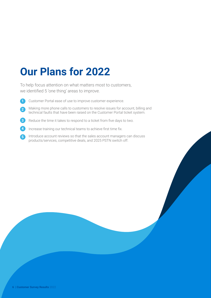## **Our Plans for 2022**

To help focus attention on what matters most to customers, we identified 5 'one thing' areas to improve.

- Customer Portal ease of use to improve customer experience. **1**
- Making more phone calls to customers to resolve issues for account, billing and technical faults that have been raised on the Customer Portal ticket system. **2**
- Reduce the time it takes to respond to a ticket from five days to two. **3**
- Increase training our technical teams to achieve first time fix. **4**
- Introduce account reviews so that the sales account managers can discuss products/services, competitive deals, and 2025 PSTN switch off. **5**